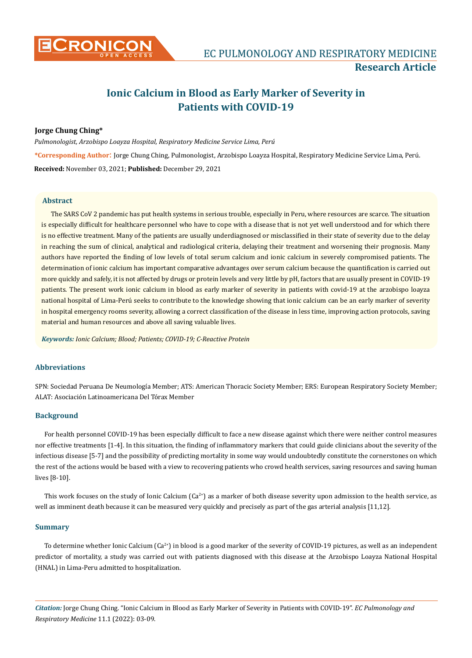

# **Ionic Calcium in Blood as Early Marker of Severity in Patients with COVID-19**

# **Jorge Chung Ching\***

*Pulmonologist, Arzobispo Loayza Hospital, Respiratory Medicine Service Lima, Perú* **\*Corresponding Author**: Jorge Chung Ching, Pulmonologist, Arzobispo Loayza Hospital, Respiratory Medicine Service Lima, Perú. **Received:** November 03, 2021; **Published:** December 29, 2021

# **Abstract**

The SARS CoV 2 pandemic has put health systems in serious trouble, especially in Peru, where resources are scarce. The situation is especially difficult for healthcare personnel who have to cope with a disease that is not yet well understood and for which there is no effective treatment. Many of the patients are usually underdiagnosed or misclassified in their state of severity due to the delay in reaching the sum of clinical, analytical and radiological criteria, delaying their treatment and worsening their prognosis. Many authors have reported the finding of low levels of total serum calcium and ionic calcium in severely compromised patients. The determination of ionic calcium has important comparative advantages over serum calcium because the quantification is carried out more quickly and safely, it is not affected by drugs or protein levels and very little by pH, factors that are usually present in COVID-19 patients. The present work ionic calcium in blood as early marker of severity in patients with covid-19 at the arzobispo loayza national hospital of Lima-Perú seeks to contribute to the knowledge showing that ionic calcium can be an early marker of severity in hospital emergency rooms severity, allowing a correct classification of the disease in less time, improving action protocols, saving material and human resources and above all saving valuable lives.

*Keywords: Ionic Calcium; Blood; Patients; COVID-19; C-Reactive Protein*

## **Abbreviations**

SPN: Sociedad Peruana De Neumología Member; ATS: American Thoracic Society Member; ERS: European Respiratory Society Member; ALAT: Asociación Latinoamericana Del Tórax Member

## **Background**

For health personnel COVID-19 has been especially difficult to face a new disease against which there were neither control measures nor effective treatments [1-4]. In this situation, the finding of inflammatory markers that could guide clinicians about the severity of the infectious disease [5-7] and the possibility of predicting mortality in some way would undoubtedly constitute the cornerstones on which the rest of the actions would be based with a view to recovering patients who crowd health services, saving resources and saving human lives [8-10].

This work focuses on the study of Ionic Calcium ( $Ca^{2+}$ ) as a marker of both disease severity upon admission to the health service, as well as imminent death because it can be measured very quickly and precisely as part of the gas arterial analysis [11,12].

## **Summary**

To determine whether Ionic Calcium  $(Ca^{2+})$  in blood is a good marker of the severity of COVID-19 pictures, as well as an independent predictor of mortality, a study was carried out with patients diagnosed with this disease at the Arzobispo Loayza National Hospital (HNAL) in Lima-Peru admitted to hospitalization.

*Citation:* Jorge Chung Ching. "Ionic Calcium in Blood as Early Marker of Severity in Patients with COVID-19". *EC Pulmonology and Respiratory Medicine* 11.1 (2022): 03-09.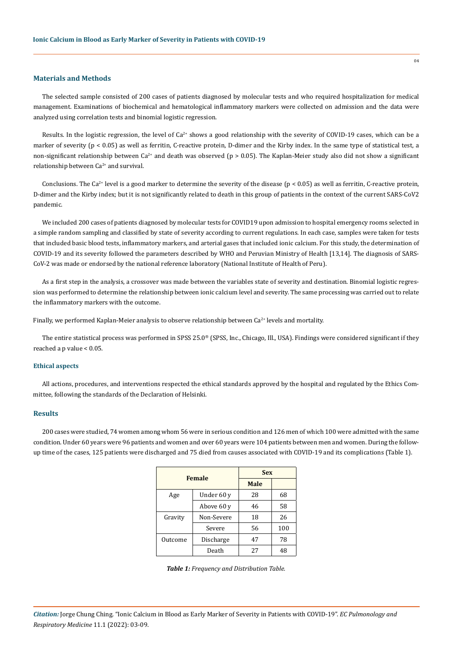### **Materials and Methods**

The selected sample consisted of 200 cases of patients diagnosed by molecular tests and who required hospitalization for medical management. Examinations of biochemical and hematological inflammatory markers were collected on admission and the data were analyzed using correlation tests and binomial logistic regression.

Results. In the logistic regression, the level of  $Ca<sup>2+</sup>$  shows a good relationship with the severity of COVID-19 cases, which can be a marker of severity (p < 0.05) as well as ferritin, C-reactive protein, D-dimer and the Kirby index. In the same type of statistical test, a non-significant relationship between  $Ca^{2+}$  and death was observed (p > 0.05). The Kaplan-Meier study also did not show a significant relationship between  $Ca^{2+}$  and survival.

Conclusions. The Ca<sup>2+</sup> level is a good marker to determine the severity of the disease ( $p < 0.05$ ) as well as ferritin, C-reactive protein, D-dimer and the Kirby index; but it is not significantly related to death in this group of patients in the context of the current SARS-CoV2 pandemic.

We included 200 cases of patients diagnosed by molecular tests for COVID19 upon admission to hospital emergency rooms selected in a simple random sampling and classified by state of severity according to current regulations. In each case, samples were taken for tests that included basic blood tests, inflammatory markers, and arterial gases that included ionic calcium. For this study, the determination of COVID-19 and its severity followed the parameters described by WHO and Peruvian Ministry of Health [13,14]. The diagnosis of SARS-CoV-2 was made or endorsed by the national reference laboratory (National Institute of Health of Peru).

As a first step in the analysis, a crossover was made between the variables state of severity and destination. Binomial logistic regression was performed to determine the relationship between ionic calcium level and severity. The same processing was carried out to relate the inflammatory markers with the outcome.

Finally, we performed Kaplan-Meier analysis to observe relationship between  $Ca^{2+}$  levels and mortality.

The entire statistical process was performed in SPSS 25.0<sup>®</sup> (SPSS, Inc., Chicago, Ill., USA). Findings were considered significant if they reached a p value < 0.05.

#### **Ethical aspects**

All actions, procedures, and interventions respected the ethical standards approved by the hospital and regulated by the Ethics Committee, following the standards of the Declaration of Helsinki.

#### **Results**

200 cases were studied, 74 women among whom 56 were in serious condition and 126 men of which 100 were admitted with the same condition. Under 60 years were 96 patients and women and over 60 years were 104 patients between men and women. During the followup time of the cases, 125 patients were discharged and 75 died from causes associated with COVID-19 and its complications (Table 1).

|               |            | <b>Sex</b>  |     |  |
|---------------|------------|-------------|-----|--|
| <b>Female</b> |            | <b>Male</b> |     |  |
| Age           | Under 60 y | 28          | 68  |  |
|               | Above 60 y | 46          | 58  |  |
| Gravity       | Non-Severe | 18          | 26  |  |
|               | Severe     | 56          | 100 |  |
| Outcome       | Discharge  | 47          | 78  |  |
|               | Death      | 27          | 48  |  |

|  | Table 1: Frequency and Distribution Table. |  |  |  |
|--|--------------------------------------------|--|--|--|
|--|--------------------------------------------|--|--|--|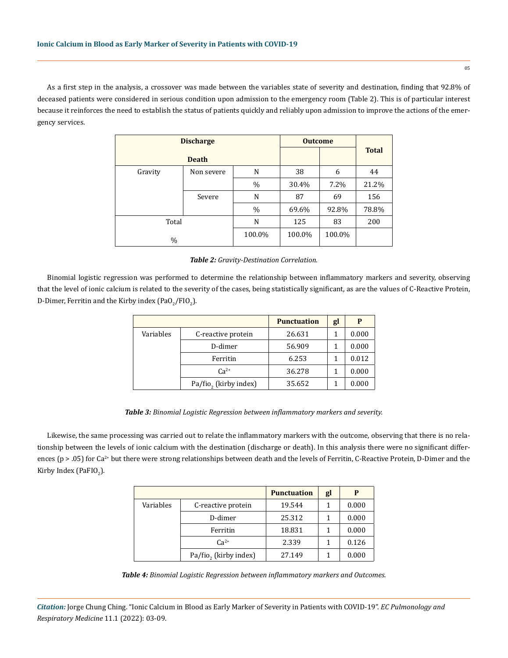As a first step in the analysis, a crossover was made between the variables state of severity and destination, finding that 92.8% of deceased patients were considered in serious condition upon admission to the emergency room (Table 2). This is of particular interest because it reinforces the need to establish the status of patients quickly and reliably upon admission to improve the actions of the emergency services.

| <b>Discharge</b> |              |               | <b>Outcome</b> |        |              |
|------------------|--------------|---------------|----------------|--------|--------------|
|                  | <b>Death</b> |               |                |        | <b>Total</b> |
| Gravity          | Non severe   | N             | 38             | 6      | 44           |
|                  |              | $\frac{0}{0}$ | 30.4%          | 7.2%   | 21.2%        |
|                  | Severe       | N             | 87             | 69     | 156          |
|                  |              | $\%$          | 69.6%          | 92.8%  | 78.8%        |
| Total            |              | N             | 125            | 83     | 200          |
| $\frac{0}{0}$    |              | 100.0%        | 100.0%         | 100.0% |              |

#### *Table 2: Gravity-Destination Correlation.*

Binomial logistic regression was performed to determine the relationship between inflammatory markers and severity, observing that the level of ionic calcium is related to the severity of the cases, being statistically significant, as are the values of C-Reactive Protein, D-Dimer, Ferritin and the Kirby index (PaO $_2$ /FIO $_2$ ).

|           |                                   | <b>Punctuation</b> | gl | P     |
|-----------|-----------------------------------|--------------------|----|-------|
| Variables | C-reactive protein                | 26.631             | 1  | 0.000 |
|           | D-dimer                           | 56.909             | 1  | 0.000 |
|           | Ferritin                          | 6.253              |    | 0.012 |
|           | $Ca^{2+}$                         | 36.278             |    | 0.000 |
|           | Pa/fio <sub>2</sub> (kirby index) | 35.652             |    | 0.000 |

#### *Table 3: Binomial Logistic Regression between inflammatory markers and severity.*

Likewise, the same processing was carried out to relate the inflammatory markers with the outcome, observing that there is no relationship between the levels of ionic calcium with the destination (discharge or death). In this analysis there were no significant differences ( $p > 0.05$ ) for Ca<sup>2+</sup> but there were strong relationships between death and the levels of Ferritin, C-Reactive Protein, D-Dimer and the Kirby Index (PaFIO<sub>2</sub>).

|           |                       | <b>Punctuation</b> | gl | P     |
|-----------|-----------------------|--------------------|----|-------|
| Variables | C-reactive protein    | 19.544             | 1  | 0.000 |
|           | D-dimer               | 25.312             | 1  | 0.000 |
|           | Ferritin              | 18.831             |    | 0.000 |
|           | $Ca^{2+}$             | 2.339              |    | 0.126 |
|           | Pa/fio, (kirby index) | 27.149             |    | 0.000 |

*Table 4: Binomial Logistic Regression between inflammatory markers and Outcomes.*

*Citation:* Jorge Chung Ching. "Ionic Calcium in Blood as Early Marker of Severity in Patients with COVID-19". *EC Pulmonology and Respiratory Medicine* 11.1 (2022): 03-09.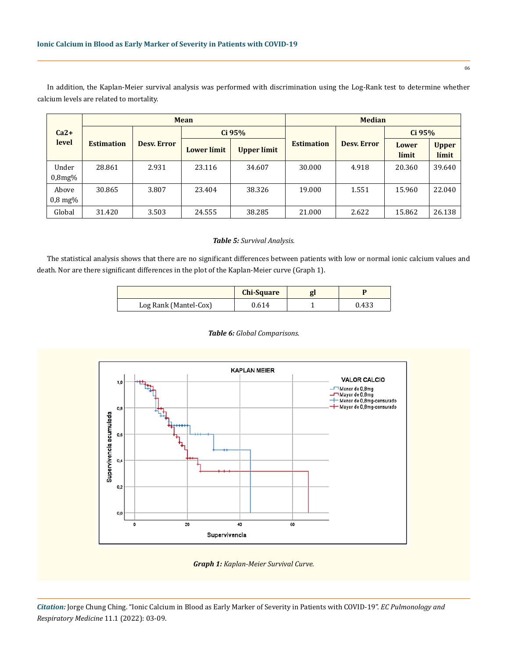In addition, the Kaplan-Meier survival analysis was performed with discrimination using the Log-Rank test to determine whether calcium levels are related to mortality.

|                                | <b>Mean</b>       |                    |                    |             | <b>Median</b>     |                    |                |                       |
|--------------------------------|-------------------|--------------------|--------------------|-------------|-------------------|--------------------|----------------|-----------------------|
| $Ca2+$                         |                   | <b>Desy. Error</b> | Ci 95%             |             |                   |                    | $Ci$ 95%       |                       |
| level                          | <b>Estimation</b> |                    | <b>Lower</b> límit | Upper límit | <b>Estimation</b> | <b>Desy.</b> Error | Lower<br>límit | <b>Upper</b><br>límit |
| Under<br>0.8mg%                | 28.861            | 2.931              | 23.116             | 34.607      | 30.000            | 4.918              | 20.360         | 39.640                |
| Above<br>$0.8 \,\mathrm{mg\%}$ | 30.865            | 3.807              | 23.404             | 38.326      | 19.000            | 1.551              | 15.960         | 22.040                |
| Global                         | 31.420            | 3.503              | 24.555             | 38.285      | 21.000            | 2.622              | 15.862         | 26.138                |

#### *Table 5: Survival Analysis.*

The statistical analysis shows that there are no significant differences between patients with low or normal ionic calcium values and death. Nor are there significant differences in the plot of the Kaplan-Meier curve (Graph 1).

|                       | <b>Chi-Square</b> |       |
|-----------------------|-------------------|-------|
| Log Rank (Mantel-Cox) | 0.614             | 0.433 |

#### *Table 6: Global Comparisons.*



*Graph 1: Kaplan-Meier Survival Curve.*

*Citation:* Jorge Chung Ching. "Ionic Calcium in Blood as Early Marker of Severity in Patients with COVID-19". *EC Pulmonology and Respiratory Medicine* 11.1 (2022): 03-09.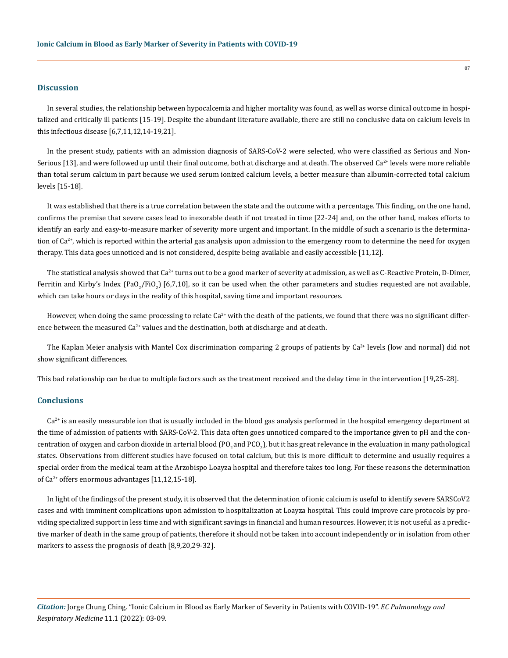## **Discussion**

In several studies, the relationship between hypocalcemia and higher mortality was found, as well as worse clinical outcome in hospitalized and critically ill patients [15-19]. Despite the abundant literature available, there are still no conclusive data on calcium levels in this infectious disease [6,7,11,12,14-19,21].

In the present study, patients with an admission diagnosis of SARS-CoV-2 were selected, who were classified as Serious and Non-Serious [13], and were followed up until their final outcome, both at discharge and at death. The observed Ca<sup>2+</sup> levels were more reliable than total serum calcium in part because we used serum ionized calcium levels, a better measure than albumin-corrected total calcium levels [15-18].

It was established that there is a true correlation between the state and the outcome with a percentage. This finding, on the one hand, confirms the premise that severe cases lead to inexorable death if not treated in time [22-24] and, on the other hand, makes efforts to identify an early and easy-to-measure marker of severity more urgent and important. In the middle of such a scenario is the determination of  $Ca^{2*}$ , which is reported within the arterial gas analysis upon admission to the emergency room to determine the need for oxygen therapy. This data goes unnoticed and is not considered, despite being available and easily accessible [11,12].

The statistical analysis showed that Ca<sup>2+</sup> turns out to be a good marker of severity at admission, as well as C-Reactive Protein, D-Dimer, Ferritin and Kirby's Index (PaO<sub>2</sub>/FiO<sub>2</sub>) [6,7,10], so it can be used when the other parameters and studies requested are not available, which can take hours or days in the reality of this hospital, saving time and important resources.

However, when doing the same processing to relate  $Ca<sup>2+</sup>$  with the death of the patients, we found that there was no significant difference between the measured  $Ca^{2+}$  values and the destination, both at discharge and at death.

The Kaplan Meier analysis with Mantel Cox discrimination comparing 2 groups of patients by  $Ca<sup>2+</sup>$  levels (low and normal) did not show significant differences.

This bad relationship can be due to multiple factors such as the treatment received and the delay time in the intervention [19,25-28].

#### **Conclusions**

 $Ca<sup>2+</sup>$  is an easily measurable ion that is usually included in the blood gas analysis performed in the hospital emergency department at the time of admission of patients with SARS-CoV-2. This data often goes unnoticed compared to the importance given to pH and the concentration of oxygen and carbon dioxide in arterial blood (PO<sub>2</sub> and PCO<sub>2</sub>), but it has great relevance in the evaluation in many pathological states. Observations from different studies have focused on total calcium, but this is more difficult to determine and usually requires a special order from the medical team at the Arzobispo Loayza hospital and therefore takes too long. For these reasons the determination of Ca<sup>2+</sup> offers enormous advantages [11,12,15-18].

In light of the findings of the present study, it is observed that the determination of ionic calcium is useful to identify severe SARSCoV2 cases and with imminent complications upon admission to hospitalization at Loayza hospital. This could improve care protocols by providing specialized support in less time and with significant savings in financial and human resources. However, it is not useful as a predictive marker of death in the same group of patients, therefore it should not be taken into account independently or in isolation from other markers to assess the prognosis of death [8,9,20,29-32].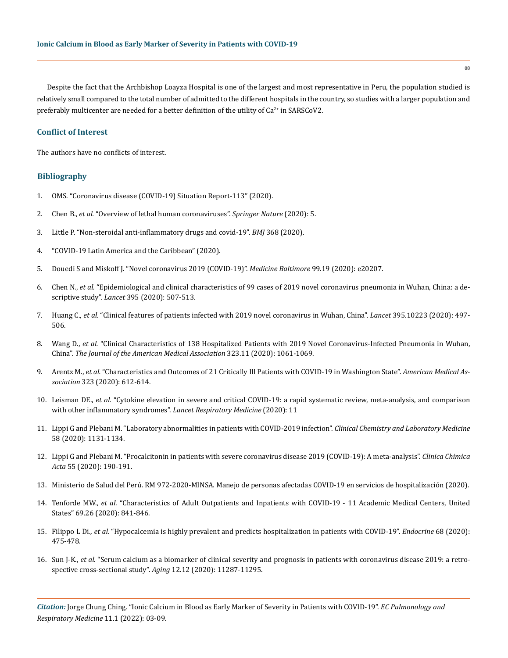Despite the fact that the Archbishop Loayza Hospital is one of the largest and most representative in Peru, the population studied is relatively small compared to the total number of admitted to the different hospitals in the country, so studies with a larger population and preferably multicenter are needed for a better definition of the utility of  $Ca^{2+}$  in SARSCoV2.

# **Conflict of Interest**

The authors have no conflicts of interest.

## **Bibliography**

- 1. [OMS. "Coronavirus disease \(COVID-19\) Situation Report-113" \(2020\).](https://www.who.int/docs/default-source/coronaviruse/situation-reports/20200512-covid-19-sitrep-113.pdf?sfvrsn=feac3b6d_2)
- 2. Chen B., *et al.* ["Overview of lethal human coronaviruses".](https://pubmed.ncbi.nlm.nih.gov/32533062/) *Springer Nature* (2020): 5.
- 3. [Little P. "Non-steroidal anti-inflammatory drugs and covid-19".](https://www.bmj.com/content/368/bmj.m1185) *BMJ* 368 (2020).
- 4. ["COVID-19 Latin America and the Caribbean" \(2020\).](https://www.oecd.org/coronavirus/policy-responses/covid-19-in-latin-america-and-the-caribbean-regional-socio-economic-implications-and-policy-priorities-93a64fde/)
- 5. [Douedi S and Miskoff J. "Novel coronavirus 2019 \(COVID-19\)".](https://www.ncbi.nlm.nih.gov/pmc/articles/PMC7220032/) *Medicine Baltimore* 99.19 (2020): e20207.
- 6. Chen N., *et al.* ["Epidemiological and clinical characteristics of 99 cases of 2019 novel coronavirus pneumonia in Wuhan, China: a de](https://www.thelancet.com/journals/lancet/article/PIIS0140-6736(20)30211-7/fulltext)scriptive study". *Lancet* [395 \(2020\): 507-513.](https://www.thelancet.com/journals/lancet/article/PIIS0140-6736(20)30211-7/fulltext)
- 7. Huang C., *et al.* ["Clinical features of patients infected with 2019 novel coronavirus in Wuhan, China".](https://www.thelancet.com/journals/lancet/article/PIIS0140-6736(20)30183-5/fulltext) *Lancet* 395.10223 (2020): 497- [506.](https://www.thelancet.com/journals/lancet/article/PIIS0140-6736(20)30183-5/fulltext)
- 8. Wang D., *et al.* ["Clinical Characteristics of 138 Hospitalized Patients with 2019 Novel Coronavirus-Infected Pneumonia in Wuhan,](https://pubmed.ncbi.nlm.nih.gov/32031570/)  China". *[The Journal of the American Medical Association](https://pubmed.ncbi.nlm.nih.gov/32031570/)* 323.11 (2020): 1061-1069.
- 9. Arentz M., *et al.* ["Characteristics and Outcomes of 21 Critically Ill Patients with COVID-19 in Washington State".](https://pubmed.ncbi.nlm.nih.gov/32191259/) *American Medical Association* [323 \(2020\): 612-614.](https://pubmed.ncbi.nlm.nih.gov/32191259/)
- 10. Leisman DE., *et al.* ["Cytokine elevation in severe and critical COVID-19: a rapid systematic review, meta-analysis, and comparison](https://pubmed.ncbi.nlm.nih.gov/33075298/)  [with other inflammatory syndromes".](https://pubmed.ncbi.nlm.nih.gov/33075298/) *Lancet Respiratory Medicine* (2020): 11
- 11. [Lippi G and Plebani M. "Laboratory abnormalities in patients with COVID-2019 infection".](https://pubmed.ncbi.nlm.nih.gov/32119647/) *Clinical Chemistry and Laboratory Medicine* [58 \(2020\): 1131-1134.](https://pubmed.ncbi.nlm.nih.gov/32119647/)
- 12. [Lippi G and Plebani M. "Procalcitonin in patients with severe coronavirus disease 2019 \(COVID-19\): A meta-analysis".](https://www.ncbi.nlm.nih.gov/pmc/articles/PMC7094472/) *Clinica Chimica Acta* [55 \(2020\): 190-191.](https://www.ncbi.nlm.nih.gov/pmc/articles/PMC7094472/)
- 13. Ministerio de Salud del Perú. RM 972-2020-MINSA. Manejo de personas afectadas COVID-19 en servicios de hospitalización (2020).
- 14. Tenforde MW., *et al.* ["Characteristics of Adult Outpatients and Inpatients with COVID-19 11 Academic Medical Centers, United](https://www.cdc.gov/mmwr/volumes/69/wr/mm6926e3.htm)  [States" 69.26 \(2020\): 841-846.](https://www.cdc.gov/mmwr/volumes/69/wr/mm6926e3.htm)
- 15. Filippo L Di., *et al.* ["Hypocalcemia is highly prevalent and predicts hospitalization in patients with COVID-19".](https://www.ncbi.nlm.nih.gov/pmc/articles/PMC7292572/) *Endocrine* 68 (2020): [475-478.](https://www.ncbi.nlm.nih.gov/pmc/articles/PMC7292572/)
- 16. Sun J-K., *et al.* ["Serum calcium as a biomarker of clinical severity and prognosis in patients with coronavirus disease 2019: a retro](https://pubmed.ncbi.nlm.nih.gov/32589164/)[spective cross-sectional study".](https://pubmed.ncbi.nlm.nih.gov/32589164/) *Aging* 12.12 (2020): 11287-11295.

*Citation:* Jorge Chung Ching. "Ionic Calcium in Blood as Early Marker of Severity in Patients with COVID-19". *EC Pulmonology and Respiratory Medicine* 11.1 (2022): 03-09.